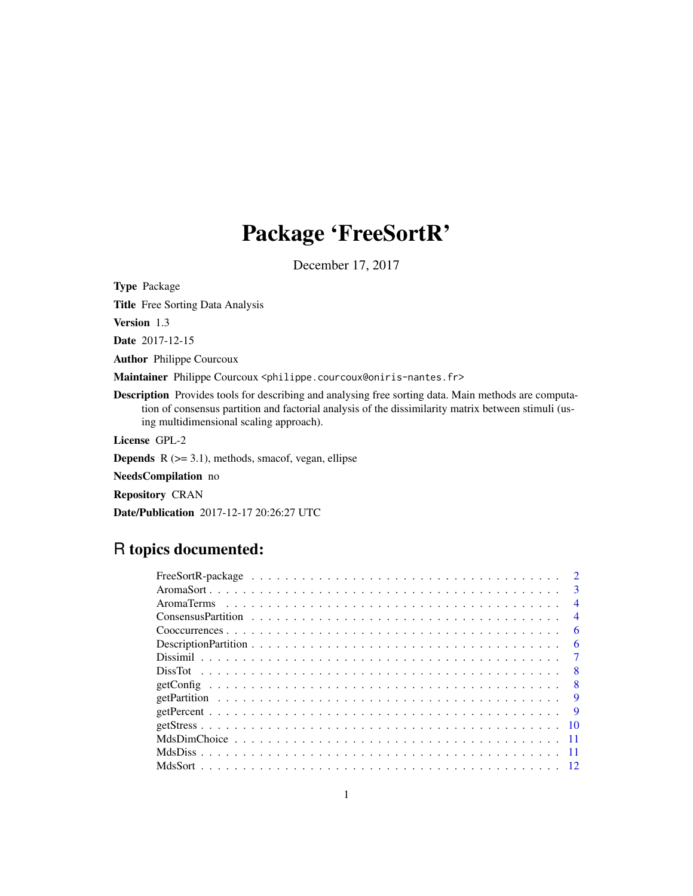## Package 'FreeSortR'

December 17, 2017

Type Package

Title Free Sorting Data Analysis

Version 1.3

Date 2017-12-15

Author Philippe Courcoux

Maintainer Philippe Courcoux <philippe.courcoux@oniris-nantes.fr>

Description Provides tools for describing and analysing free sorting data. Main methods are computation of consensus partition and factorial analysis of the dissimilarity matrix between stimuli (using multidimensional scaling approach).

License GPL-2

**Depends**  $R$  ( $>= 3.1$ ), methods, smacof, vegan, ellipse

NeedsCompilation no

Repository CRAN

Date/Publication 2017-12-17 20:26:27 UTC

## R topics documented:

|  |  |  |  |  |  |  |  |  |  |  |  |  |  |  |  |  | $\mathcal{D}$            |
|--|--|--|--|--|--|--|--|--|--|--|--|--|--|--|--|--|--------------------------|
|  |  |  |  |  |  |  |  |  |  |  |  |  |  |  |  |  | $\mathbf{3}$             |
|  |  |  |  |  |  |  |  |  |  |  |  |  |  |  |  |  | $\overline{4}$           |
|  |  |  |  |  |  |  |  |  |  |  |  |  |  |  |  |  | $\overline{\mathcal{A}}$ |
|  |  |  |  |  |  |  |  |  |  |  |  |  |  |  |  |  | 6                        |
|  |  |  |  |  |  |  |  |  |  |  |  |  |  |  |  |  | 6                        |
|  |  |  |  |  |  |  |  |  |  |  |  |  |  |  |  |  |                          |
|  |  |  |  |  |  |  |  |  |  |  |  |  |  |  |  |  |                          |
|  |  |  |  |  |  |  |  |  |  |  |  |  |  |  |  |  | -8                       |
|  |  |  |  |  |  |  |  |  |  |  |  |  |  |  |  |  | 9                        |
|  |  |  |  |  |  |  |  |  |  |  |  |  |  |  |  |  | -9                       |
|  |  |  |  |  |  |  |  |  |  |  |  |  |  |  |  |  | -10                      |
|  |  |  |  |  |  |  |  |  |  |  |  |  |  |  |  |  |                          |
|  |  |  |  |  |  |  |  |  |  |  |  |  |  |  |  |  |                          |
|  |  |  |  |  |  |  |  |  |  |  |  |  |  |  |  |  |                          |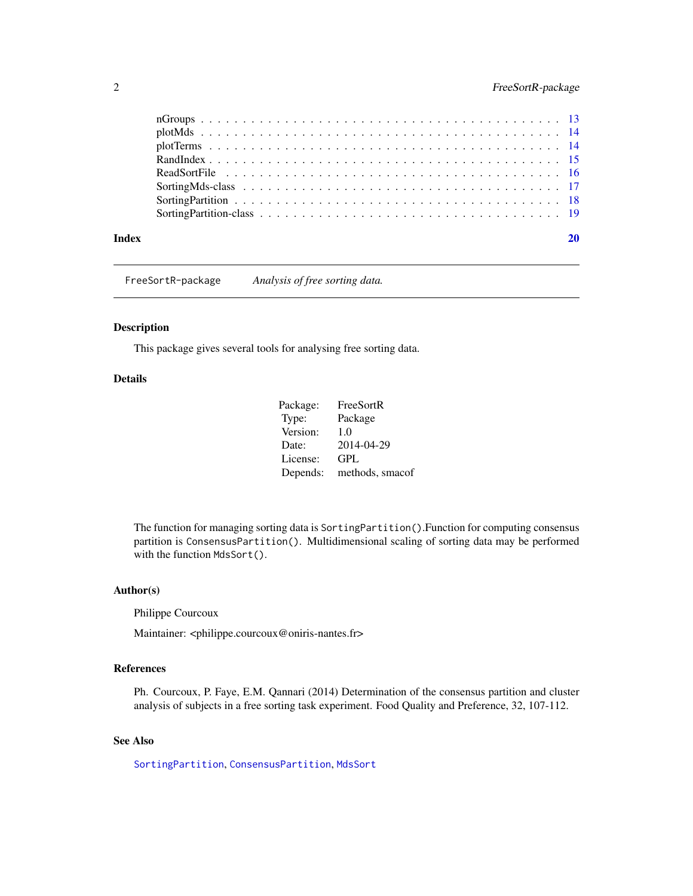<span id="page-1-0"></span>

#### **Index** [20](#page-19-0)

FreeSortR-package *Analysis of free sorting data.*

#### Description

This package gives several tools for analysing free sorting data.

## Details

Package: FreeSortR Type: Package Version: 1.0 Date: 2014-04-29 License: GPL Depends: methods, smacof

The function for managing sorting data is SortingPartition().Function for computing consensus partition is ConsensusPartition(). Multidimensional scaling of sorting data may be performed with the function MdsSort().

## Author(s)

Philippe Courcoux

Maintainer: <philippe.courcoux@oniris-nantes.fr>

#### References

Ph. Courcoux, P. Faye, E.M. Qannari (2014) Determination of the consensus partition and cluster analysis of subjects in a free sorting task experiment. Food Quality and Preference, 32, 107-112.

## See Also

[SortingPartition](#page-17-1), [ConsensusPartition](#page-3-1), [MdsSort](#page-11-1)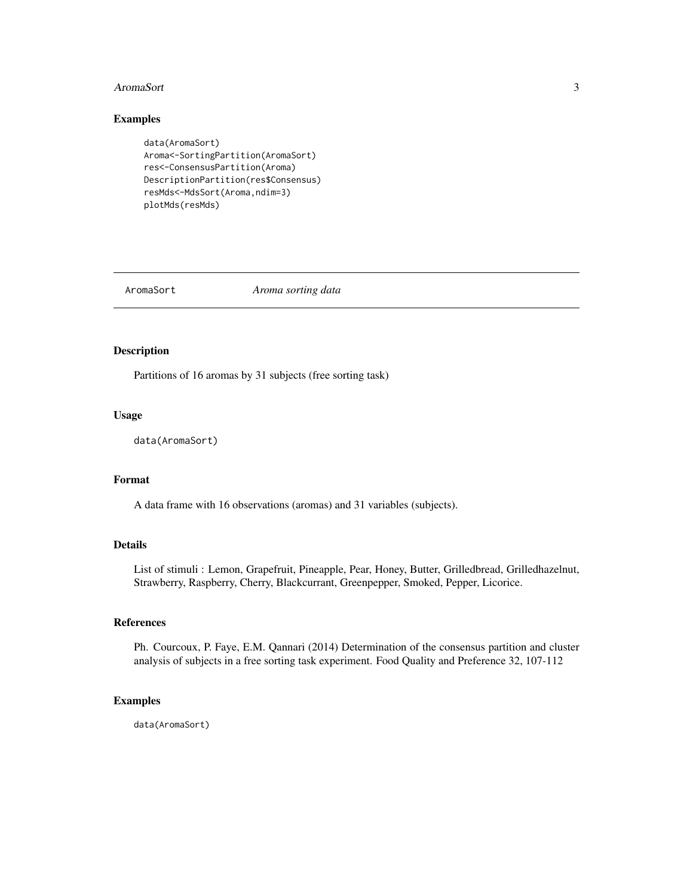#### <span id="page-2-0"></span>AromaSort 3

## Examples

```
data(AromaSort)
Aroma<-SortingPartition(AromaSort)
res<-ConsensusPartition(Aroma)
DescriptionPartition(res$Consensus)
resMds<-MdsSort(Aroma,ndim=3)
plotMds(resMds)
```
AromaSort *Aroma sorting data*

## Description

Partitions of 16 aromas by 31 subjects (free sorting task)

#### Usage

```
data(AromaSort)
```
## Format

A data frame with 16 observations (aromas) and 31 variables (subjects).

## Details

List of stimuli : Lemon, Grapefruit, Pineapple, Pear, Honey, Butter, Grilledbread, Grilledhazelnut, Strawberry, Raspberry, Cherry, Blackcurrant, Greenpepper, Smoked, Pepper, Licorice.

## References

Ph. Courcoux, P. Faye, E.M. Qannari (2014) Determination of the consensus partition and cluster analysis of subjects in a free sorting task experiment. Food Quality and Preference 32, 107-112

#### Examples

data(AromaSort)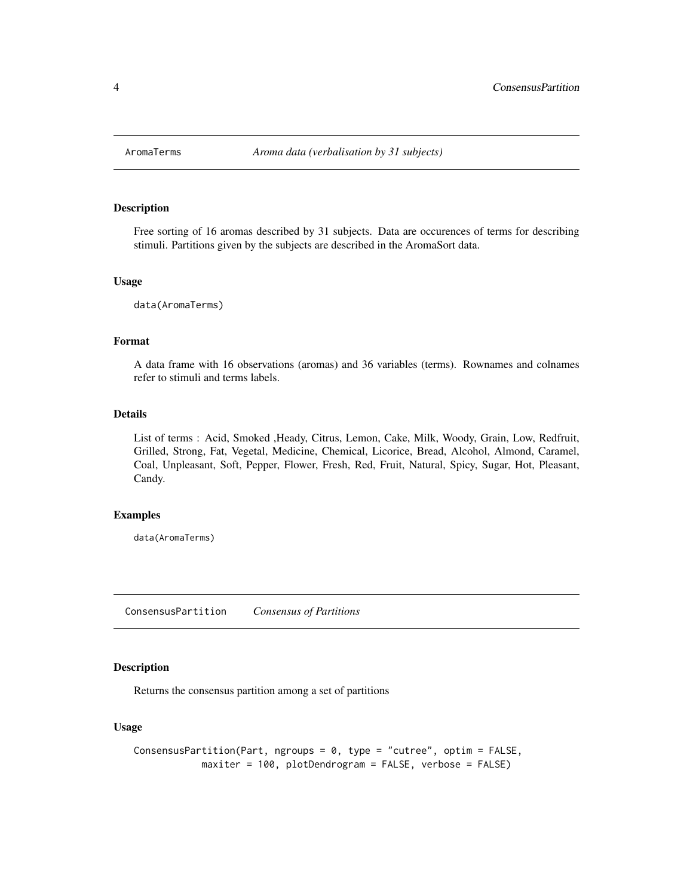<span id="page-3-0"></span>

Free sorting of 16 aromas described by 31 subjects. Data are occurences of terms for describing stimuli. Partitions given by the subjects are described in the AromaSort data.

#### Usage

data(AromaTerms)

#### Format

A data frame with 16 observations (aromas) and 36 variables (terms). Rownames and colnames refer to stimuli and terms labels.

#### Details

List of terms : Acid, Smoked ,Heady, Citrus, Lemon, Cake, Milk, Woody, Grain, Low, Redfruit, Grilled, Strong, Fat, Vegetal, Medicine, Chemical, Licorice, Bread, Alcohol, Almond, Caramel, Coal, Unpleasant, Soft, Pepper, Flower, Fresh, Red, Fruit, Natural, Spicy, Sugar, Hot, Pleasant, Candy.

#### Examples

data(AromaTerms)

<span id="page-3-1"></span>ConsensusPartition *Consensus of Partitions*

## Description

Returns the consensus partition among a set of partitions

## Usage

```
ConsensusPartition(Part, ngroups = 0, type = "cutree", optim = FALSE,
           maxiter = 100, plotDendrogram = FALSE, verbose = FALSE)
```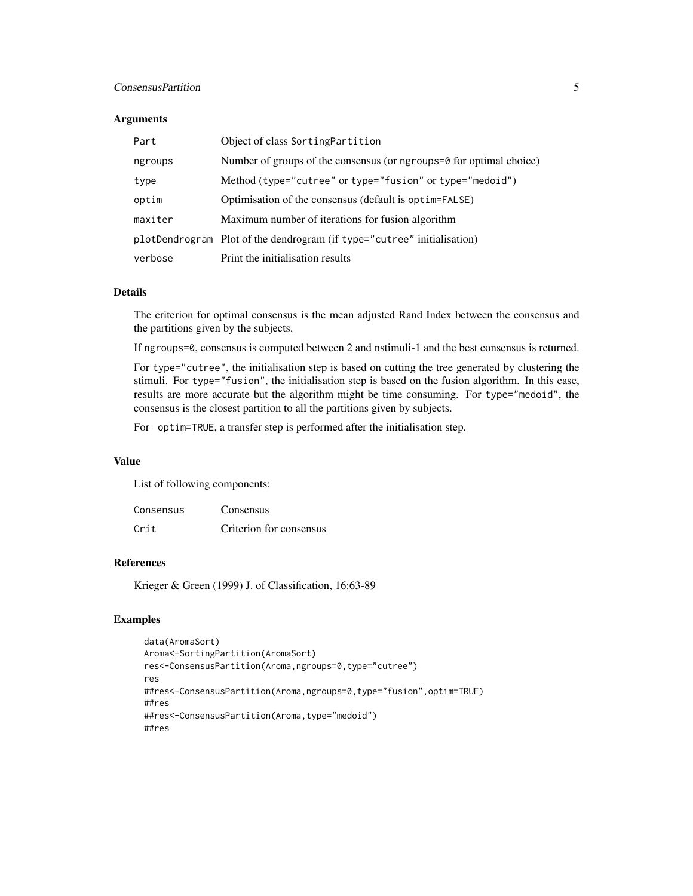## ConsensusPartition 5

#### **Arguments**

| Part    | Object of class Sorting Partition                                       |
|---------|-------------------------------------------------------------------------|
| ngroups | Number of groups of the consensus (or ngroups=0 for optimal choice)     |
| type    | Method (type="cutree" or type="fusion" or type="medoid")                |
| optim   | Optimisation of the consensus (default is optim=FALSE)                  |
| maxiter | Maximum number of iterations for fusion algorithm                       |
|         | plotDendrogram Plot of the dendrogram (if type="cutree" initialisation) |
| verbose | Print the initialisation results                                        |

### Details

The criterion for optimal consensus is the mean adjusted Rand Index between the consensus and the partitions given by the subjects.

If ngroups=0, consensus is computed between 2 and nstimuli-1 and the best consensus is returned.

For type="cutree", the initialisation step is based on cutting the tree generated by clustering the stimuli. For type="fusion", the initialisation step is based on the fusion algorithm. In this case, results are more accurate but the algorithm might be time consuming. For type="medoid", the consensus is the closest partition to all the partitions given by subjects.

For optim=TRUE, a transfer step is performed after the initialisation step.

## Value

List of following components:

| Consensus | Consensus               |
|-----------|-------------------------|
| Crit      | Criterion for consensus |

## References

Krieger & Green (1999) J. of Classification, 16:63-89

```
data(AromaSort)
Aroma<-SortingPartition(AromaSort)
res<-ConsensusPartition(Aroma,ngroups=0,type="cutree")
res
##res<-ConsensusPartition(Aroma,ngroups=0,type="fusion",optim=TRUE)
##res
##res<-ConsensusPartition(Aroma,type="medoid")
##res
```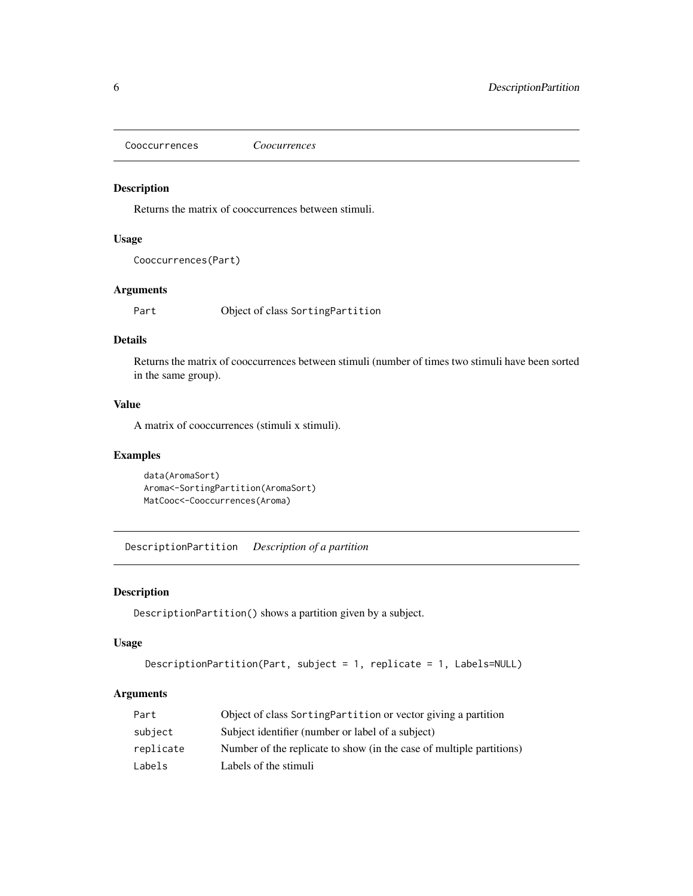<span id="page-5-0"></span>Cooccurrences *Coocurrences*

## Description

Returns the matrix of cooccurrences between stimuli.

#### Usage

```
Cooccurrences(Part)
```
## Arguments

Part Object of class SortingPartition

## Details

Returns the matrix of cooccurrences between stimuli (number of times two stimuli have been sorted in the same group).

## Value

A matrix of cooccurrences (stimuli x stimuli).

## Examples

```
data(AromaSort)
Aroma<-SortingPartition(AromaSort)
MatCooc<-Cooccurrences(Aroma)
```
DescriptionPartition *Description of a partition*

## Description

DescriptionPartition() shows a partition given by a subject.

## Usage

```
DescriptionPartition(Part, subject = 1, replicate = 1, Labels=NULL)
```
## Arguments

| Part      | Object of class SortingPartition or vector giving a partition        |
|-----------|----------------------------------------------------------------------|
| subject   | Subject identifier (number or label of a subject)                    |
| replicate | Number of the replicate to show (in the case of multiple partitions) |
| Labels    | Labels of the stimuli                                                |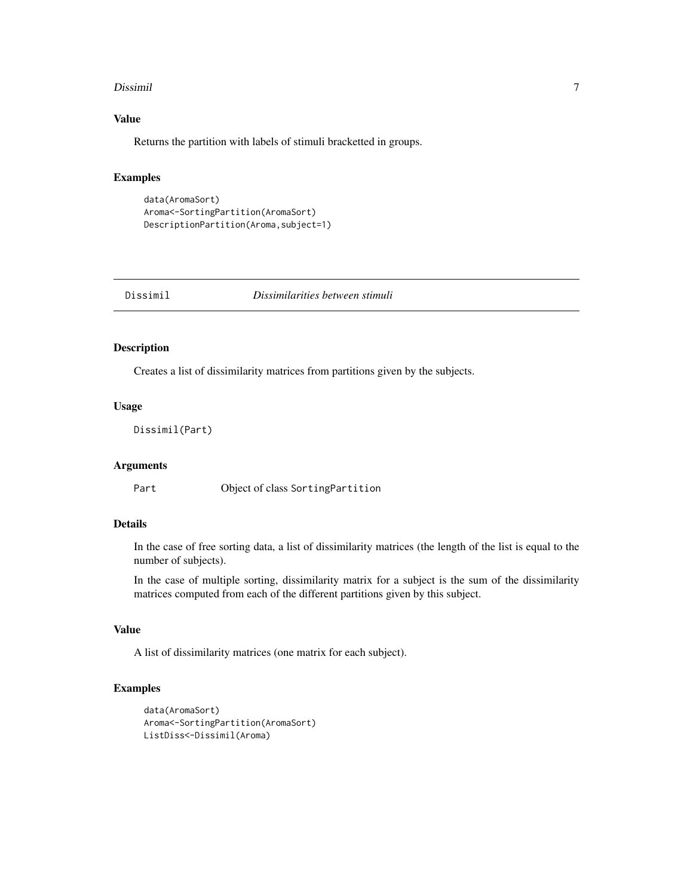#### <span id="page-6-0"></span>Dissimil 7

## Value

Returns the partition with labels of stimuli bracketted in groups.

## Examples

```
data(AromaSort)
Aroma<-SortingPartition(AromaSort)
DescriptionPartition(Aroma,subject=1)
```
Dissimil *Dissimilarities between stimuli*

## Description

Creates a list of dissimilarity matrices from partitions given by the subjects.

#### Usage

Dissimil(Part)

## Arguments

Part Object of class SortingPartition

## Details

In the case of free sorting data, a list of dissimilarity matrices (the length of the list is equal to the number of subjects).

In the case of multiple sorting, dissimilarity matrix for a subject is the sum of the dissimilarity matrices computed from each of the different partitions given by this subject.

## Value

A list of dissimilarity matrices (one matrix for each subject).

```
data(AromaSort)
Aroma<-SortingPartition(AromaSort)
ListDiss<-Dissimil(Aroma)
```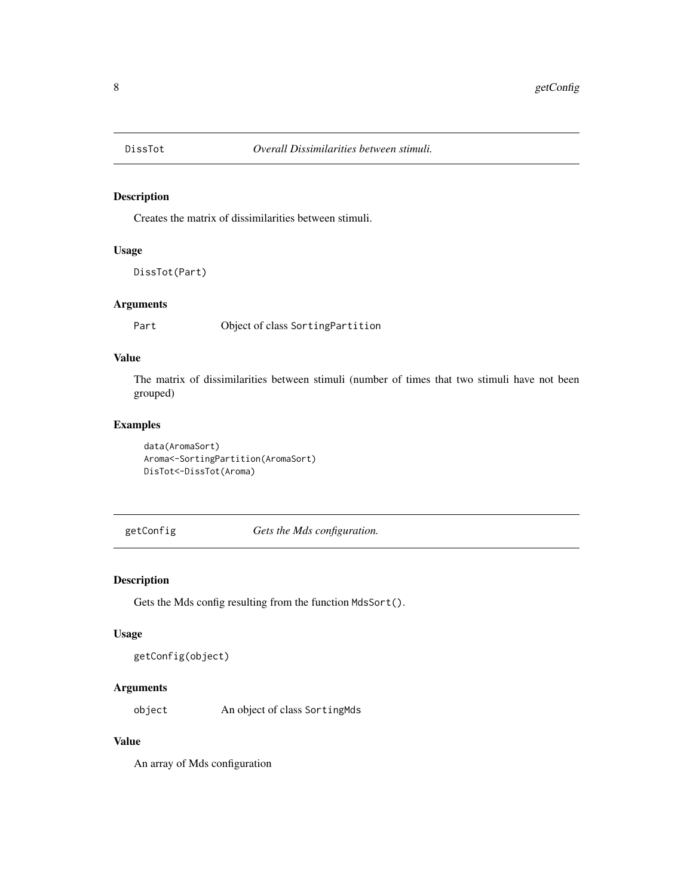<span id="page-7-0"></span>

Creates the matrix of dissimilarities between stimuli.

## Usage

DissTot(Part)

## Arguments

Part Object of class SortingPartition

## Value

The matrix of dissimilarities between stimuli (number of times that two stimuli have not been grouped)

## Examples

data(AromaSort) Aroma<-SortingPartition(AromaSort) DisTot<-DissTot(Aroma)

getConfig *Gets the Mds configuration.*

## Description

Gets the Mds config resulting from the function MdsSort().

#### Usage

```
getConfig(object)
```
#### Arguments

object An object of class SortingMds

## Value

An array of Mds configuration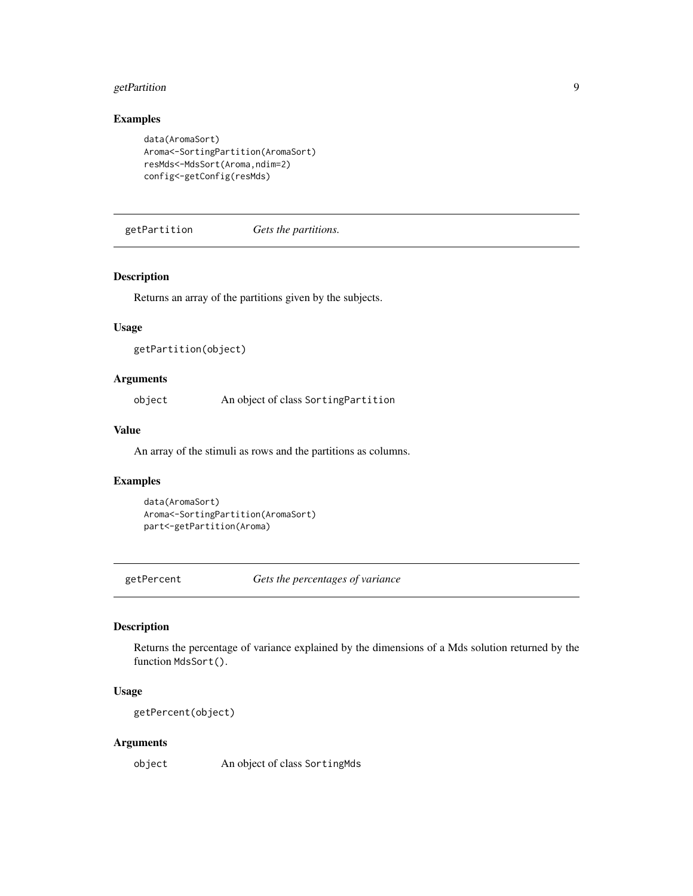## <span id="page-8-0"></span>getPartition 9

## Examples

```
data(AromaSort)
Aroma<-SortingPartition(AromaSort)
resMds<-MdsSort(Aroma,ndim=2)
config<-getConfig(resMds)
```
getPartition *Gets the partitions.*

## Description

Returns an array of the partitions given by the subjects.

#### Usage

```
getPartition(object)
```
## Arguments

object An object of class SortingPartition

## Value

An array of the stimuli as rows and the partitions as columns.

#### Examples

```
data(AromaSort)
Aroma<-SortingPartition(AromaSort)
part<-getPartition(Aroma)
```
getPercent *Gets the percentages of variance*

#### Description

Returns the percentage of variance explained by the dimensions of a Mds solution returned by the function MdsSort().

## Usage

getPercent(object)

#### Arguments

object An object of class SortingMds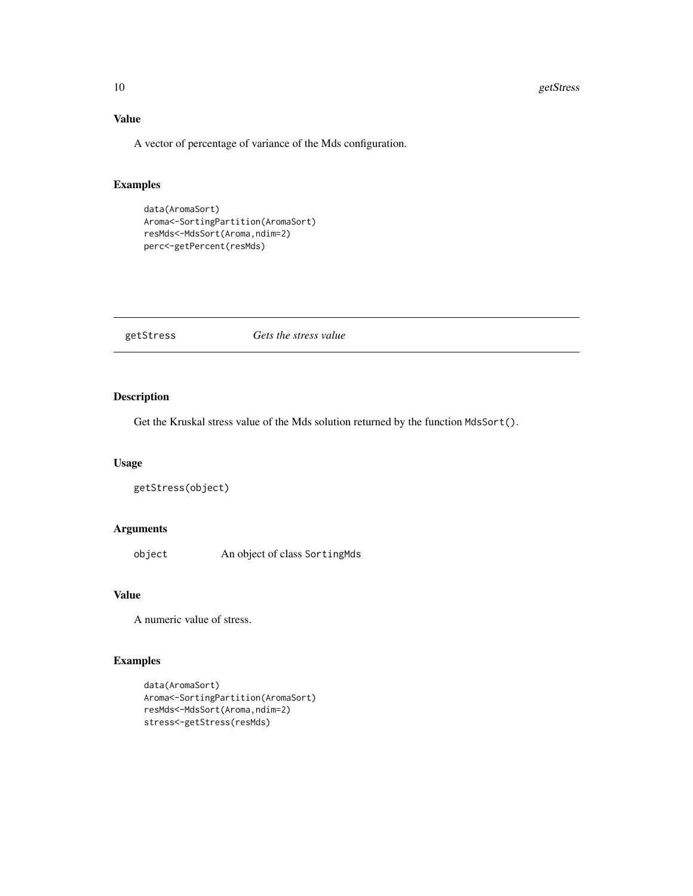#### <span id="page-9-0"></span>10 getStress and the set of the set of the set of the set of the set of the set of the set of the set of the set of the set of the set of the set of the set of the set of the set of the set of the set of the set of the set

## Value

A vector of percentage of variance of the Mds configuration.

## Examples

```
data(AromaSort)
Aroma<-SortingPartition(AromaSort)
resMds<-MdsSort(Aroma,ndim=2)
perc<-getPercent(resMds)
```
## getStress *Gets the stress value*

#### Description

Get the Kruskal stress value of the Mds solution returned by the function MdsSort().

#### Usage

```
getStress(object)
```
#### Arguments

object An object of class SortingMds

## Value

A numeric value of stress.

```
data(AromaSort)
Aroma<-SortingPartition(AromaSort)
resMds<-MdsSort(Aroma,ndim=2)
stress<-getStress(resMds)
```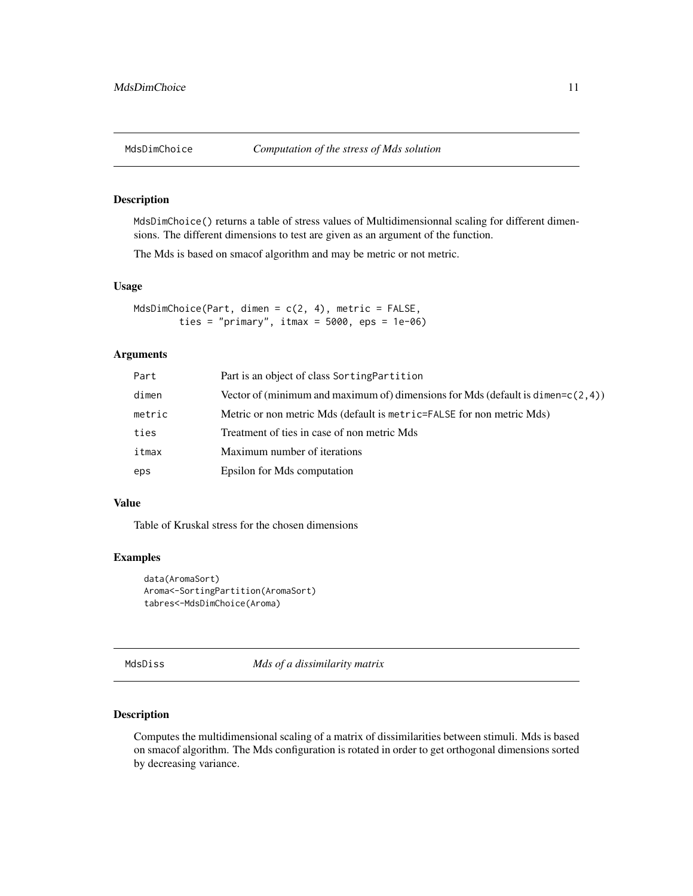<span id="page-10-0"></span>

MdsDimChoice() returns a table of stress values of Multidimensionnal scaling for different dimensions. The different dimensions to test are given as an argument of the function.

The Mds is based on smacof algorithm and may be metric or not metric.

#### Usage

```
MdsDimChoice(Part, dimen = c(2, 4), metric = FALSE,
        ties = "primary", itmax = 5000, eps = 1e-06)
```
## Arguments

| Part   | Part is an object of class Sorting Partition                                         |
|--------|--------------------------------------------------------------------------------------|
| dimen  | Vector of (minimum and maximum of) dimensions for Mds (default is dimen= $c(2, 4)$ ) |
| metric | Metric or non metric Mds (default is metric=FALSE for non metric Mds)                |
| ties   | Treatment of ties in case of non metric Mds.                                         |
| itmax  | Maximum number of iterations                                                         |
| eps    | Epsilon for Mds computation                                                          |

#### Value

Table of Kruskal stress for the chosen dimensions

## Examples

```
data(AromaSort)
Aroma<-SortingPartition(AromaSort)
tabres<-MdsDimChoice(Aroma)
```
MdsDiss *Mds of a dissimilarity matrix*

#### Description

Computes the multidimensional scaling of a matrix of dissimilarities between stimuli. Mds is based on smacof algorithm. The Mds configuration is rotated in order to get orthogonal dimensions sorted by decreasing variance.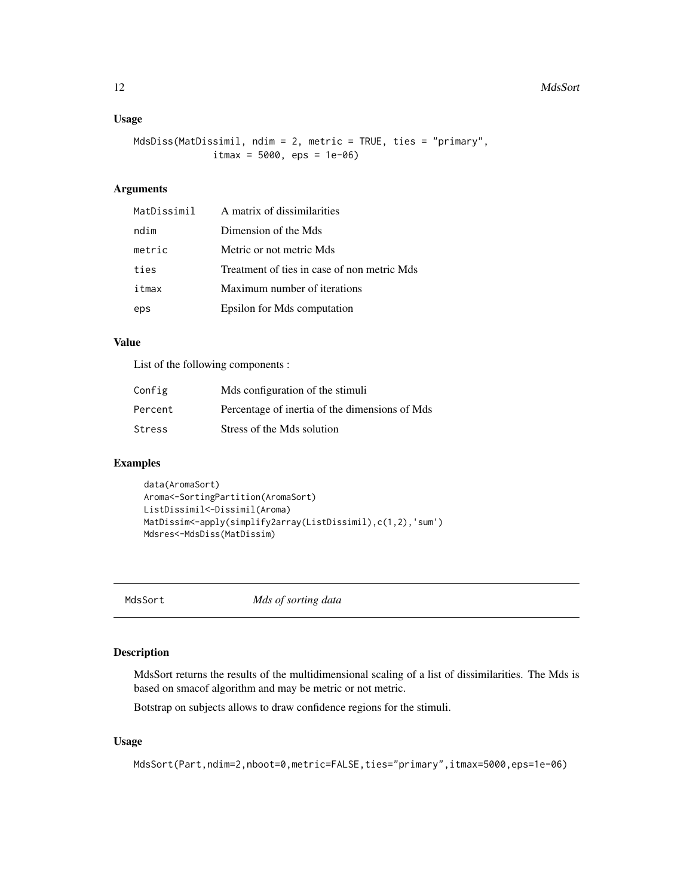#### <span id="page-11-0"></span>12 MdsSort 2012 MdsSort 2012 MdsSort 2012 MdsSort 2012 MdsSort 2012 MdsSort 2012 MdsSort 2012 12:00 12:00 12:00 12:00 12:00 12:00 12:00 12:00 12:00 12:00 12:00 12:00 12:00 12:00 12:00 12:00 12:00 12:00 12:00 12:00 12:00 12

## Usage

```
MdsDiss(MatDissimil, ndim = 2, metric = TRUE, ties = "primary",
              itmax = 5000, eps = 1e-06)
```
## Arguments

| MatDissimil | A matrix of dissimilarities                 |
|-------------|---------------------------------------------|
| ndim        | Dimension of the Mds                        |
| metric      | Metric or not metric Mds.                   |
| ties        | Treatment of ties in case of non metric Mds |
| itmax       | Maximum number of iterations                |
| eps         | Epsilon for Mds computation                 |

## Value

List of the following components :

| Config  | Mds configuration of the stimuli               |
|---------|------------------------------------------------|
| Percent | Percentage of inertia of the dimensions of Mds |
| Stress  | Stress of the Mds solution                     |

#### Examples

```
data(AromaSort)
Aroma<-SortingPartition(AromaSort)
ListDissimil<-Dissimil(Aroma)
MatDissim<-apply(simplify2array(ListDissimil),c(1,2),'sum')
Mdsres<-MdsDiss(MatDissim)
```
<span id="page-11-1"></span>

MdsSort *Mds of sorting data*

## Description

MdsSort returns the results of the multidimensional scaling of a list of dissimilarities. The Mds is based on smacof algorithm and may be metric or not metric.

Botstrap on subjects allows to draw confidence regions for the stimuli.

## Usage

```
MdsSort(Part,ndim=2,nboot=0,metric=FALSE,ties="primary",itmax=5000,eps=1e-06)
```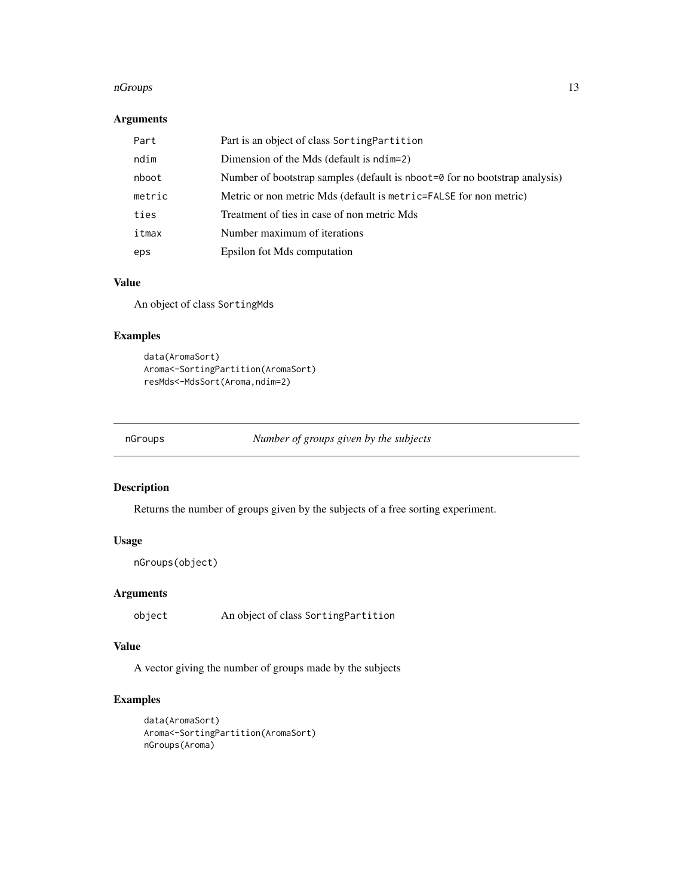#### <span id="page-12-0"></span>nGroups and the contract of the contract of the contract of the contract of the contract of the contract of the contract of the contract of the contract of the contract of the contract of the contract of the contract of th

## Arguments

| Part   | Part is an object of class SortingPartition                                |
|--------|----------------------------------------------------------------------------|
| ndim   | Dimension of the Mds (default is ndim=2)                                   |
| nboot  | Number of bootstrap samples (default is nboot=0 for no bootstrap analysis) |
| metric | Metric or non metric Mds (default is metric=FALSE for non metric)          |
| ties   | Treatment of ties in case of non metric Mds                                |
| itmax  | Number maximum of iterations                                               |
| eps    | Epsilon fot Mds computation                                                |

## Value

An object of class SortingMds

## Examples

```
data(AromaSort)
Aroma<-SortingPartition(AromaSort)
resMds<-MdsSort(Aroma,ndim=2)
```
nGroups *Number of groups given by the subjects*

## Description

Returns the number of groups given by the subjects of a free sorting experiment.

## Usage

```
nGroups(object)
```
## Arguments

object An object of class SortingPartition

#### Value

A vector giving the number of groups made by the subjects

```
data(AromaSort)
Aroma<-SortingPartition(AromaSort)
nGroups(Aroma)
```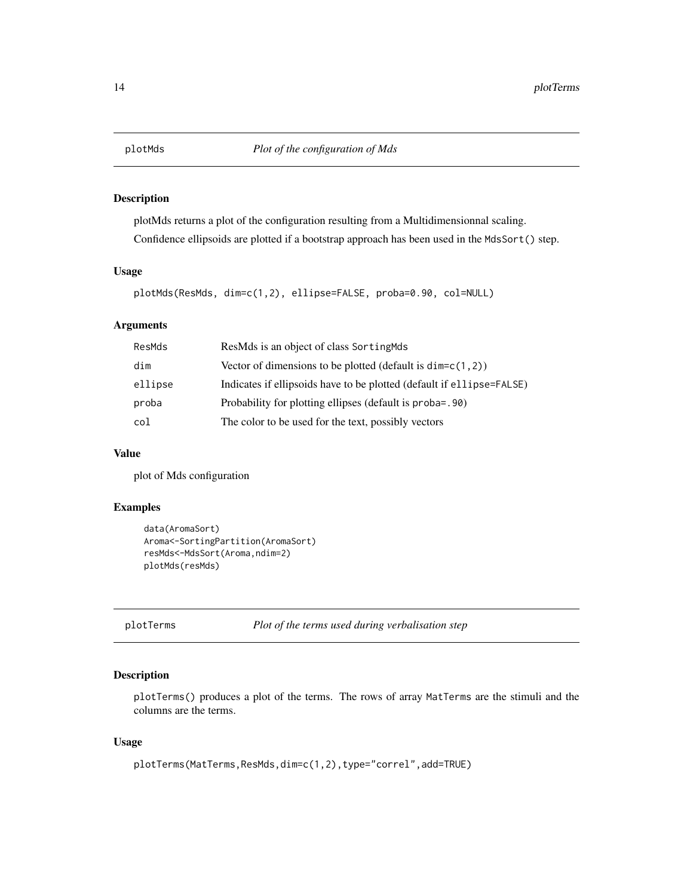<span id="page-13-0"></span>

plotMds returns a plot of the configuration resulting from a Multidimensionnal scaling. Confidence ellipsoids are plotted if a bootstrap approach has been used in the MdsSort() step.

#### Usage

```
plotMds(ResMds, dim=c(1,2), ellipse=FALSE, proba=0.90, col=NULL)
```
## Arguments

| ResMds  | ResMds is an object of class Sorting Mds                              |
|---------|-----------------------------------------------------------------------|
| dim     | Vector of dimensions to be plotted (default is $dim=c(1,2)$ )         |
| ellipse | Indicates if ellipsoids have to be plotted (default if ellipse=FALSE) |
| proba   | Probability for plotting ellipses (default is proba=. 90)             |
| col     | The color to be used for the text, possibly vectors                   |

## Value

plot of Mds configuration

#### Examples

```
data(AromaSort)
Aroma<-SortingPartition(AromaSort)
resMds<-MdsSort(Aroma,ndim=2)
plotMds(resMds)
```
plotTerms *Plot of the terms used during verbalisation step*

#### Description

plotTerms() produces a plot of the terms. The rows of array MatTerms are the stimuli and the columns are the terms.

## Usage

```
plotTerms(MatTerms,ResMds,dim=c(1,2),type="correl",add=TRUE)
```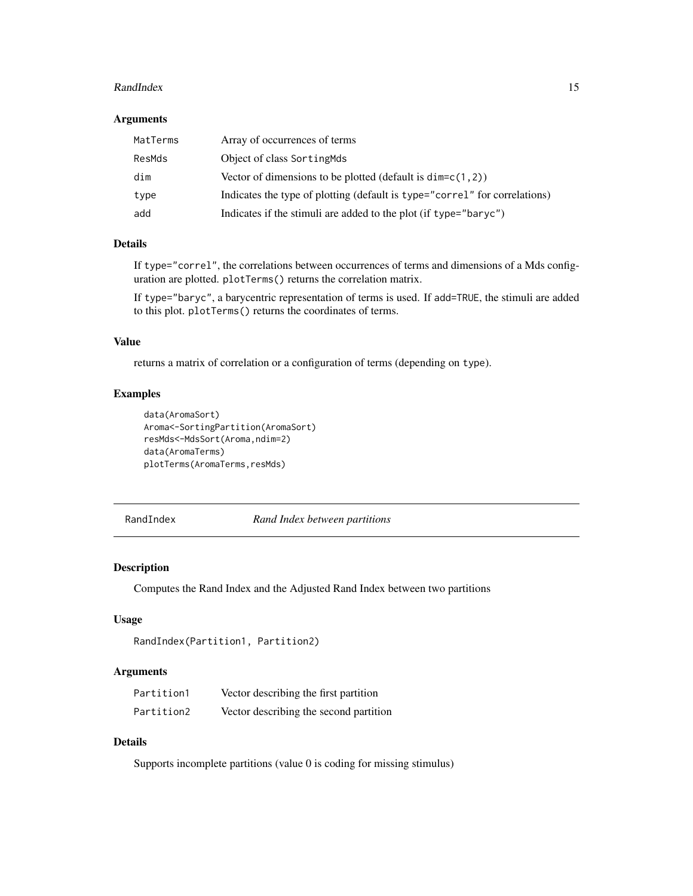#### <span id="page-14-0"></span>RandIndex 15

#### Arguments

| MatTerms | Array of occurrences of terms                                              |
|----------|----------------------------------------------------------------------------|
| ResMds   | Object of class Sorting Mds                                                |
| dim      | Vector of dimensions to be plotted (default is $dim=c(1,2)$ )              |
| type     | Indicates the type of plotting (default is type="correl" for correlations) |
| add      | Indicates if the stimuli are added to the plot (if type="baryc")           |

## Details

If type="correl", the correlations between occurrences of terms and dimensions of a Mds configuration are plotted. plotTerms() returns the correlation matrix.

If type="baryc", a barycentric representation of terms is used. If add=TRUE, the stimuli are added to this plot. plotTerms() returns the coordinates of terms.

## Value

returns a matrix of correlation or a configuration of terms (depending on type).

## Examples

```
data(AromaSort)
Aroma<-SortingPartition(AromaSort)
resMds<-MdsSort(Aroma,ndim=2)
data(AromaTerms)
plotTerms(AromaTerms,resMds)
```
RandIndex *Rand Index between partitions*

## Description

Computes the Rand Index and the Adjusted Rand Index between two partitions

### Usage

```
RandIndex(Partition1, Partition2)
```
## Arguments

| Partition1 | Vector describing the first partition  |
|------------|----------------------------------------|
| Partition2 | Vector describing the second partition |

## Details

Supports incomplete partitions (value 0 is coding for missing stimulus)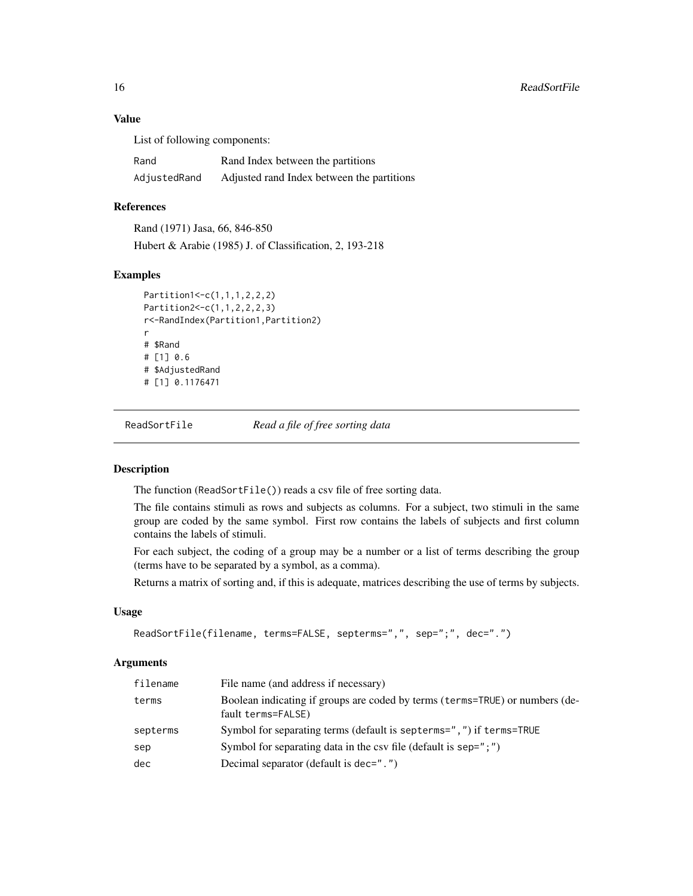## Value

List of following components:

| Rand         | Rand Index between the partitions          |
|--------------|--------------------------------------------|
| AdjustedRand | Adjusted rand Index between the partitions |

## References

Rand (1971) Jasa, 66, 846-850 Hubert & Arabie (1985) J. of Classification, 2, 193-218

## Examples

```
Partition1<-c(1,1,1,2,2,2)
Partition2<-c(1,1,2,2,2,3)
r<-RandIndex(Partition1,Partition2)
r
# $Rand
# [1] 0.6
# $AdjustedRand
# [1] 0.1176471
```
ReadSortFile *Read a file of free sorting data*

#### Description

The function (ReadSortFile()) reads a csv file of free sorting data.

The file contains stimuli as rows and subjects as columns. For a subject, two stimuli in the same group are coded by the same symbol. First row contains the labels of subjects and first column contains the labels of stimuli.

For each subject, the coding of a group may be a number or a list of terms describing the group (terms have to be separated by a symbol, as a comma).

Returns a matrix of sorting and, if this is adequate, matrices describing the use of terms by subjects.

#### Usage

```
ReadSortFile(filename, terms=FALSE, septerms=",", sep=";", dec=".")
```
#### Arguments

| filename | File name (and address if necessary)                                                               |
|----------|----------------------------------------------------------------------------------------------------|
| terms    | Boolean indicating if groups are coded by terms (terms=TRUE) or numbers (de-<br>fault terms=FALSE) |
| septerms | Symbol for separating terms (default is septerms=",") if terms=TRUE                                |
| sep      | Symbol for separating data in the csy file (default is sep=";")                                    |
| dec      | Decimal separator (default is dec=",")                                                             |

<span id="page-15-0"></span>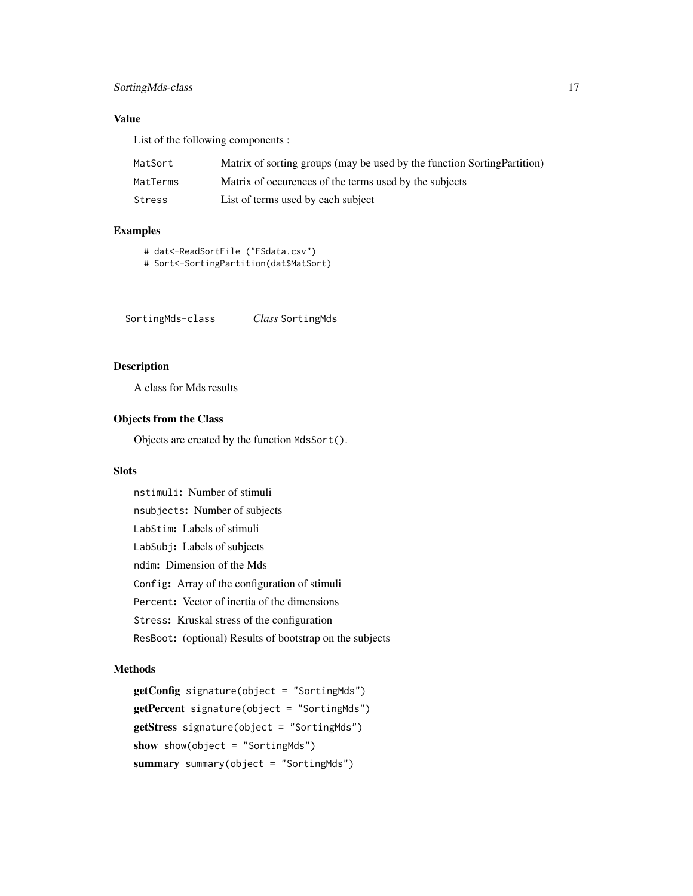## <span id="page-16-0"></span>SortingMds-class 17

## Value

List of the following components :

| MatSort  | Matrix of sorting groups (may be used by the function Sorting Partition) |
|----------|--------------------------------------------------------------------------|
| MatTerms | Matrix of occurences of the terms used by the subjects                   |
| Stress   | List of terms used by each subject                                       |

## Examples

- # dat<-ReadSortFile ("FSdata.csv")
- # Sort<-SortingPartition(dat\$MatSort)

SortingMds-class *Class* SortingMds

## Description

A class for Mds results

## Objects from the Class

Objects are created by the function MdsSort().

## Slots

nstimuli: Number of stimuli nsubjects: Number of subjects LabStim: Labels of stimuli LabSubj: Labels of subjects ndim: Dimension of the Mds Config: Array of the configuration of stimuli Percent: Vector of inertia of the dimensions Stress: Kruskal stress of the configuration ResBoot: (optional) Results of bootstrap on the subjects

#### Methods

```
getConfig signature(object = "SortingMds")
getPercent signature(object = "SortingMds")
getStress signature(object = "SortingMds")
show show(object = "SortingMds")
summary summary(object = "SortingMds")
```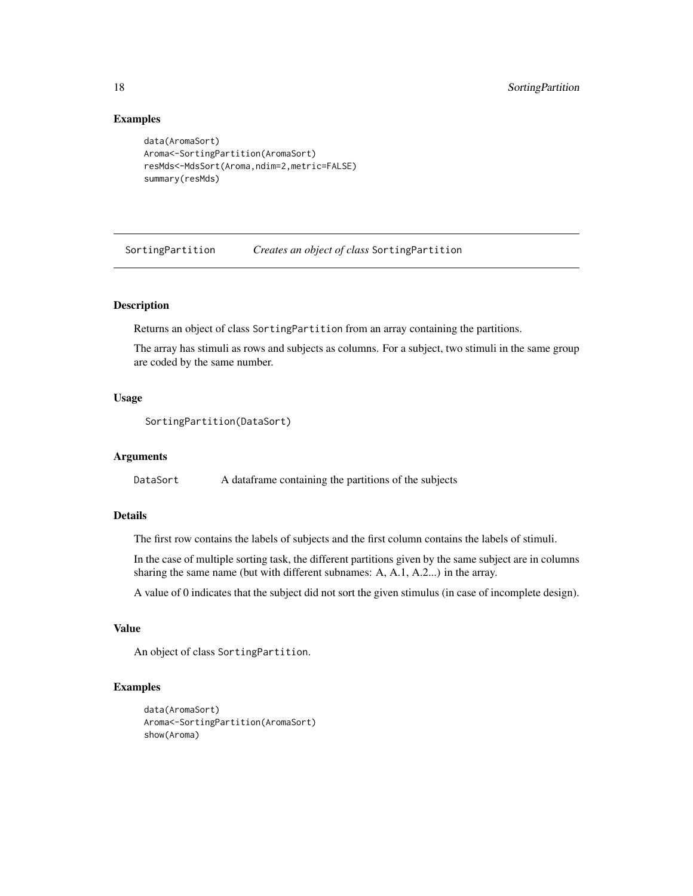#### Examples

```
data(AromaSort)
Aroma<-SortingPartition(AromaSort)
resMds<-MdsSort(Aroma,ndim=2,metric=FALSE)
summary(resMds)
```
<span id="page-17-1"></span>SortingPartition *Creates an object of class* SortingPartition

## Description

Returns an object of class SortingPartition from an array containing the partitions.

The array has stimuli as rows and subjects as columns. For a subject, two stimuli in the same group are coded by the same number.

## Usage

```
SortingPartition(DataSort)
```
#### Arguments

DataSort A dataframe containing the partitions of the subjects

## Details

The first row contains the labels of subjects and the first column contains the labels of stimuli.

In the case of multiple sorting task, the different partitions given by the same subject are in columns sharing the same name (but with different subnames: A, A.1, A.2...) in the array.

A value of 0 indicates that the subject did not sort the given stimulus (in case of incomplete design).

## Value

An object of class SortingPartition.

```
data(AromaSort)
Aroma<-SortingPartition(AromaSort)
show(Aroma)
```
<span id="page-17-0"></span>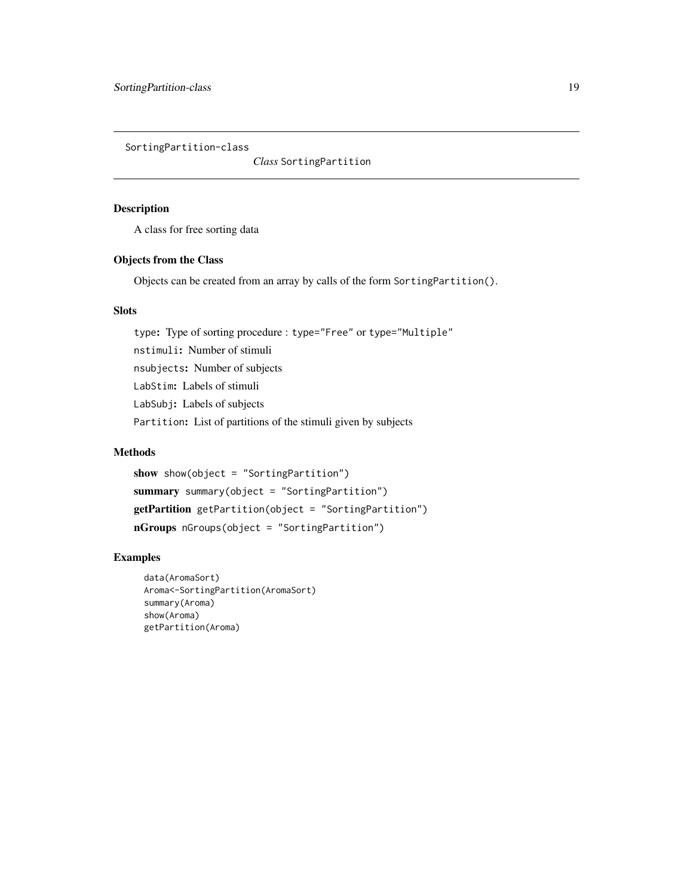<span id="page-18-0"></span>SortingPartition-class

*Class* SortingPartition

## Description

A class for free sorting data

#### Objects from the Class

Objects can be created from an array by calls of the form SortingPartition().

## **Slots**

type: Type of sorting procedure : type="Free" or type="Multiple" nstimuli: Number of stimuli nsubjects: Number of subjects LabStim: Labels of stimuli LabSubj: Labels of subjects Partition: List of partitions of the stimuli given by subjects

## Methods

show show(object = "SortingPartition") summary summary(object = "SortingPartition") getPartition getPartition(object = "SortingPartition") nGroups nGroups(object = "SortingPartition")

```
data(AromaSort)
Aroma<-SortingPartition(AromaSort)
summary(Aroma)
show(Aroma)
getPartition(Aroma)
```